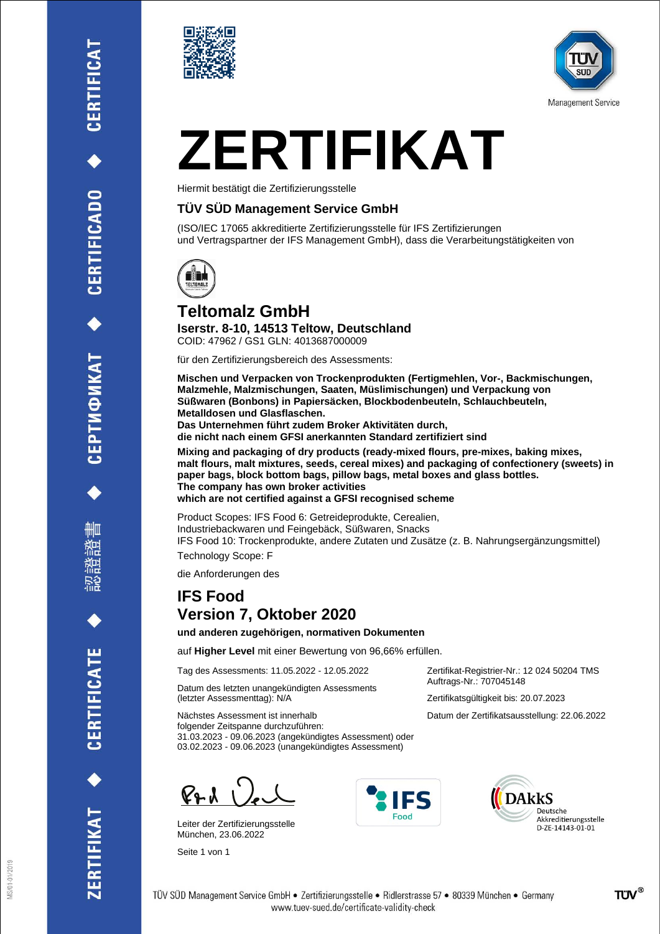CERTIFICATE





# **ZERTIFIKAT**

Hiermit bestätigt die Zertifizierungsstelle

### **TÜV SÜD Management Service GmbH**

(ISO/IEC 17065 akkreditierte Zertifizierungsstelle für IFS Zertifizierungen und Vertragspartner der IFS Management GmbH), dass die Verarbeitungstätigkeiten von



### **Teltomalz GmbH**

**Iserstr. 8-10, 14513 Teltow, Deutschland** COID: 47962 / GS1 GLN: 4013687000009

für den Zertifizierungsbereich des Assessments:

**Mischen und Verpacken von Trockenprodukten (Fertigmehlen, Vor-, Backmischungen, Malzmehle, Malzmischungen, Saaten, Müslimischungen) und Verpackung von Süßwaren (Bonbons) in Papiersäcken, Blockbodenbeuteln, Schlauchbeuteln, Metalldosen und Glasflaschen. Das Unternehmen führt zudem Broker Aktivitäten durch, die nicht nach einem GFSI anerkannten Standard zertifiziert sind**

**Mixing and packaging of dry products (ready-mixed flours, pre-mixes, baking mixes, malt flours, malt mixtures, seeds, cereal mixes) and packaging of confectionery (sweets) in paper bags, block bottom bags, pillow bags, metal boxes and glass bottles. The company has own broker activities which are not certified against a GFSI recognised scheme**

Product Scopes: IFS Food 6: Getreideprodukte, Cerealien, Industriebackwaren und Feingebäck, Süßwaren, Snacks IFS Food 10: Trockenprodukte, andere Zutaten und Zusätze (z. B. Nahrungsergänzungsmittel)

Technology Scope: F

die Anforderungen des

## **IFS Food Version 7, Oktober 2020**

**und anderen zugehörigen, normativen Dokumenten**

auf **Higher Level** mit einer Bewertung von 96,66% erfüllen.

Tag des Assessments: 11.05.2022 - 12.05.2022

Datum des letzten unangekündigten Assessments (letzter Assessmenttag): N/A

Zertifikat-Registrier-Nr.: 12 024 50204 TMS Auftrags-Nr.: 707045148 Zertifikatsgültigkeit bis: 20.07.2023

Datum der Zertifikatsausstellung: 22.06.2022

Nächstes Assessment ist innerhalb folgender Zeitspanne durchzuführen: 31.03.2023 - 09.06.2023 (angekündigtes Assessment) oder 03.02.2023 - 09.06.2023 (unangekündigtes Assessment)

 $\mathbb{C}_{2}$   $\lambda$   $\lambda$ 

Leiter der Zertifizierungsstelle München, 23.06.2022

Seite 1 von 1





TÜV SÜD Management Service GmbH · Zertifizierungsstelle · Ridlerstrasse 57 · 80339 München · Germany www.tuev-sued.de/certificate-validity-check